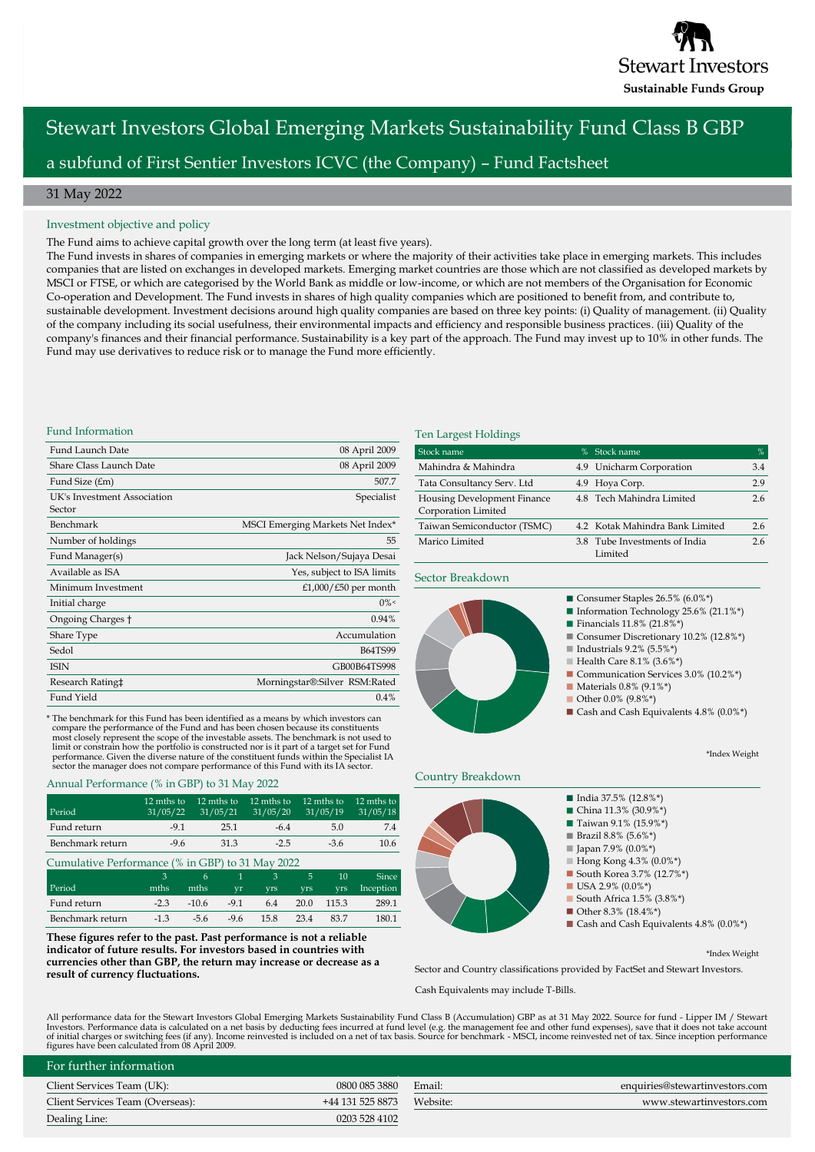

# Stewart Investors Global Emerging Markets Sustainability Fund Class B GBP a subfund of First Sentier Investors ICVC (the Company) – Fund Factsheet

## 31 May 2022

### Investment objective and policy

The Fund aims to achieve capital growth over the long term (at least five years).

The Fund invests in shares of companies in emerging markets or where the majority of their activities take place in emerging markets. This includes companies that are listed on exchanges in developed markets. Emerging market countries are those which are not classified as developed markets by MSCI or FTSE, or which are categorised by the World Bank as middle or low-income, or which are not members of the Organisation for Economic Co-operation and Development. The Fund invests in shares of high quality companies which are positioned to benefit from, and contribute to, sustainable development. Investment decisions around high quality companies are based on three key points: (i) Quality of management. (ii) Quality of the company including its social usefulness, their environmental impacts and efficiency and responsible business practices. (iii) Quality of the company's finances and their financial performance. Sustainability is a key part of the approach. The Fund may invest up to 10% in other funds. The Fund may use derivatives to reduce risk or to manage the Fund more efficiently.

### Fund Information

| Fund Launch Date            | 08 April 2009                    |
|-----------------------------|----------------------------------|
| Share Class Launch Date     | 08 April 2009                    |
| Fund Size (£m)              | 507.7                            |
| UK's Investment Association | Specialist                       |
| Sector                      |                                  |
| Benchmark                   | MSCI Emerging Markets Net Index* |
| Number of holdings          | 55                               |
| Fund Manager(s)             | Jack Nelson/Sujaya Desai         |
| Available as ISA            | Yes, subject to ISA limits       |
| Minimum Investment          | £1,000/ $£50$ per month          |
| Initial charge              | $0\%$                            |
| Ongoing Charges †           | 0.94%                            |
| Share Type                  | Accumulation                     |
| Sedol                       | <b>B64TS99</b>                   |
| <b>ISIN</b>                 | GB00B64TS998                     |
| Research Rating‡            | Morningstar®:Silver RSM:Rated    |
| Fund Yield                  | 0.4%                             |

\* The benchmark for this Fund has been identified as a means by which investors can compare the performance of the Fund and has been chosen because its constituents<br>most closely represent the scope of the investable assets. The benchmark is not used to<br>limit or constrain how the portfolio is constructed n

### Annual Performance (% in GBP) to 31 May 2022

| Period           | 12 mths to<br>31/05/22 | 12 mths to<br>31/05/21 | 12 mths to<br>31/05/20 | 12 mths to<br>31/05/19 | 12 mths to<br>31/05/18 |
|------------------|------------------------|------------------------|------------------------|------------------------|------------------------|
| Fund return      | $-9.1$                 | 25.1                   | $-6.4$                 | 5.0                    | 74                     |
| Benchmark return | $-9.6$                 | 31.3                   | $-2.5$                 | $-3.6$                 | 10.6                   |

| Cumulative Performance (% in GBP) to 31 May 2022 |        |         |        |            |            |            |              |
|--------------------------------------------------|--------|---------|--------|------------|------------|------------|--------------|
|                                                  |        | 6       |        |            | 5.         | 10         | <b>Since</b> |
| Period                                           | mths   | mths    | vr     | <b>vrs</b> | <b>vrs</b> | <b>vrs</b> | Inception    |
| Fund return                                      | $-2.3$ | $-10.6$ | $-9.1$ | 6.4        | 20.0       | 115.3      | 289.1        |
| Benchmark return                                 | $-1.3$ | $-5.6$  | $-9.6$ | 15.8       | 23.4       | 837        | 180.1        |

**These figures refer to the past. Past performance is not a reliable indicator of future results. For investors based in countries with currencies other than GBP, the return may increase or decrease as a result of currency fluctuations.** 

### Ten Largest Holdings

| Stock name                                                | % Stock name                             | %   |
|-----------------------------------------------------------|------------------------------------------|-----|
| Mahindra & Mahindra                                       | 4.9 Unicharm Corporation                 | 3.4 |
| Tata Consultancy Serv. Ltd                                | 4.9 Hoya Corp.                           | 2.9 |
| <b>Housing Development Finance</b><br>Corporation Limited | 4.8 Tech Mahindra Limited                | 2.6 |
| Taiwan Semiconductor (TSMC)                               | 4.2 Kotak Mahindra Bank Limited          | 2.6 |
| Marico Limited                                            | 3.8 Tube Investments of India<br>Limited | 26  |

## Sector Breakdown



\*Index Weight





<sup>\*</sup>Index Weight

Sector and Country classifications provided by FactSet and Stewart Investors.

Cash Equivalents may include T-Bills.

All performance data for the Stewart Investors Global Emerging Markets Sustainability Fund Class B (Accumulation) GBP as at 31 May 2022. Source for fund - Lipper IM / Stewart Investors. Performance data is calculated on a net basis by deducting fees incurred at fund level (e.g. the management fee and other fund expenses), save that it does not take account<br>of initial charges or switching fees ( figures have been calculated from 08 April 2009.

| For further information          |                  |          |                                |
|----------------------------------|------------------|----------|--------------------------------|
| Client Services Team (UK):       | 0800 085 3880    | Email:   | enquiries@stewartinvestors.com |
| Client Services Team (Overseas): | +44 131 525 8873 | Website: | www.stewartinvestors.com       |
| Dealing Line:                    | 0203 528 4102    |          |                                |